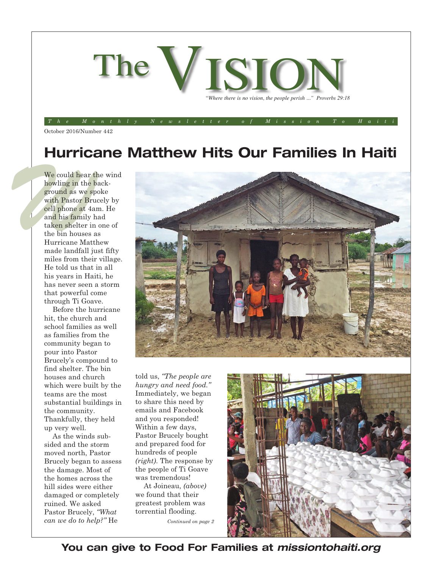

#### October 2016/Number 442 The Monthly Newsletter of Mission To Haiti

## **Hurricane Matthew Hits Our Families In Haiti**

We could hear the buying in the bare of the space of the space of the space of the point of the space of the space of the space of the space of the space of the space of the space of the space of the space of the space of We could hear the wind howling in the background as we spoke with Pastor Brucely by cell phone at 4am. He and his family had taken shelter in one of the bin houses as Hurricane Matthew made landfall just fifty miles from their village. He told us that in all his years in Haiti, he has never seen a storm that powerful come through Ti Goave.

Before the hurricane hit, the church and school families as well as families from the community began to pour into Pastor Brucely's compound to find shelter. The bin houses and church which were built by the teams are the most substantial buildings in the community. Thankfully, they held up very well.

As the winds subsided and the storm moved north, Pastor Brucely began to assess the damage. Most of the homes across the hill sides were either damaged or completely ruined. We asked Pastor Brucely, *"What can we do to help?"* He *Continued on page <sup>2</sup>*



told us, *"The people are hungry and need food."* Immediately, we began to share this need by emails and Facebook and you responded! Within a few days, Pastor Brucely bought and prepared food for hundreds of people *(right)*. The response by the people of Ti Goave was tremendous!

At Joineau, *(above)* we found that their greatest problem was torrential flooding.



**You can give to Food For Families at** *missiontohaiti.org*